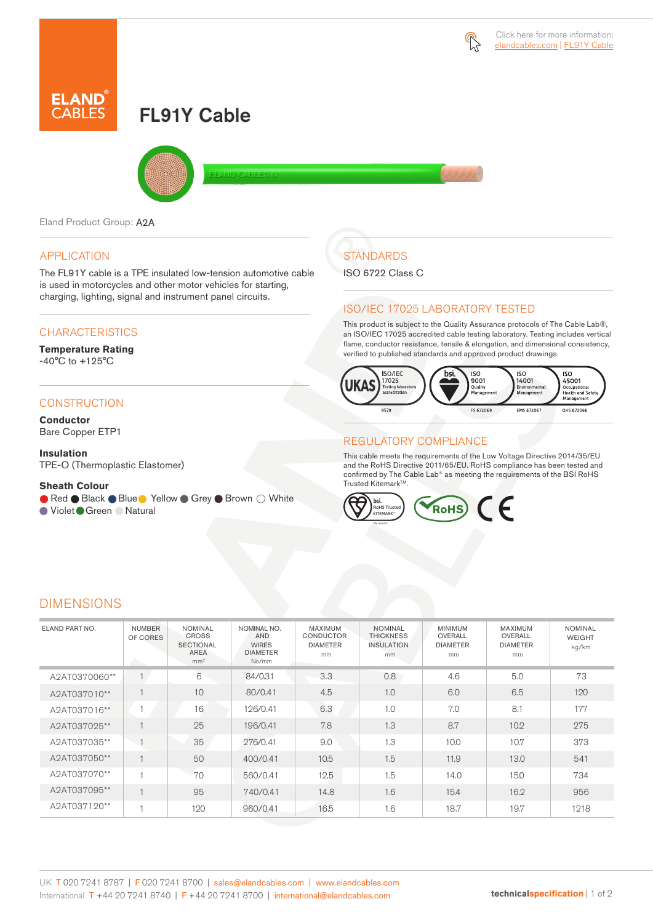

# FL91Y Cable



Eland Product Group: A2A

#### APPLICATION

The FL91Y cable is a TPE insulated low-tension automotive cable is used in motorcycles and other motor vehicles for starting, charging, lighting, signal and instrument panel circuits.

#### **CHARACTERISTICS**

#### **Temperature Rating**  -40°C to +125°C

### **CONSTRUCTION**

**Conductor** Bare Copper ETP1

**Insulation** TPE-O (Thermoplastic Elastomer)

#### **Sheath Colour**

● Red ● Black ● Blue ● Yellow ● Grey ● Brown ○ White

● Violet Green ● Natural

## **STANDARDS**

ISO 6722 Class C

#### ISO/IEC 17025 LABORATORY TESTED

This product is subject to the Quality Assurance protocols of The Cable Lab®, an ISO/IEC 17025 accredited cable testing laboratory. Testing includes vertical flame, conductor resistance, tensile & elongation, and dimensional consistency, verified to published standards and approved product drawings.



#### REGULATORY COMPLIANCE

This cable meets the requirements of the Low Voltage Directive 2014/35/EU and the RoHS Directive 2011/65/EU. RoHS compliance has been tested and confirmed by The Cable Lab® as meeting the requirements of the BSI RoHS Trusted Kitemark™.



### DIMENSIONS

| ELAND PART NO. | <b>NUMBER</b><br>OF CORES | <b>NOMINAL</b><br><b>CROSS</b><br><b>SECTIONAL</b><br>AREA<br>mm <sup>2</sup> | NOMINAL NO.<br><b>AND</b><br><b>WIRES</b><br><b>DIAMETER</b><br>No/mm | MAXIMUM<br><b>CONDUCTOR</b><br><b>DIAMETER</b><br>mm | <b>NOMINAL</b><br><b>THICKNESS</b><br><b>INSULATION</b><br>mm. | <b>MINIMUM</b><br>OVERALL<br><b>DIAMETER</b><br>mm | MAXIMUM<br>OVERALL<br><b>DIAMETER</b><br>mm | <b>NOMINAL</b><br>WEIGHT<br>kg/km |
|----------------|---------------------------|-------------------------------------------------------------------------------|-----------------------------------------------------------------------|------------------------------------------------------|----------------------------------------------------------------|----------------------------------------------------|---------------------------------------------|-----------------------------------|
| A2AT0370060**  | $\overline{1}$            | 6                                                                             | 84/0.31                                                               | 3.3                                                  | 0.8                                                            | 4.6                                                | 5.0                                         | 73                                |
| A2AT037010**   |                           | 10                                                                            | 80/0.41                                                               | 4.5                                                  | 1.0                                                            | 6.0                                                | 6.5                                         | 120                               |
| A2AT037016**   |                           | 16                                                                            | 126/0.41                                                              | 6.3                                                  | 1.0                                                            | 7.0                                                | 8.1                                         | 177                               |
| A2AT037025**   |                           | 25                                                                            | 196/0.41                                                              | 7.8                                                  | 1.3                                                            | 8.7                                                | 10.2                                        | 275                               |
| A2AT037035**   |                           | 35                                                                            | 276/0.41                                                              | 9.0                                                  | 1.3                                                            | 10.0                                               | 10.7                                        | 373                               |
| A2AT037050**   |                           | 50                                                                            | 400/0.41                                                              | 10.5                                                 | 1.5                                                            | 11.9                                               | 13.0                                        | 541                               |
| A2AT037070**   | <b>H</b>                  | 70                                                                            | 560/0.41                                                              | 12.5                                                 | 1.5                                                            | 14.0                                               | 15.0                                        | 734                               |
| A2AT037095**   |                           | 95                                                                            | 740/0.41                                                              | 14.8                                                 | 1.6                                                            | 15.4                                               | 16.2                                        | 956                               |
| A2AT037120**   |                           | 120                                                                           | 960/0.41                                                              | 16.5                                                 | 1.6                                                            | 18.7                                               | 19.7                                        | 1218                              |